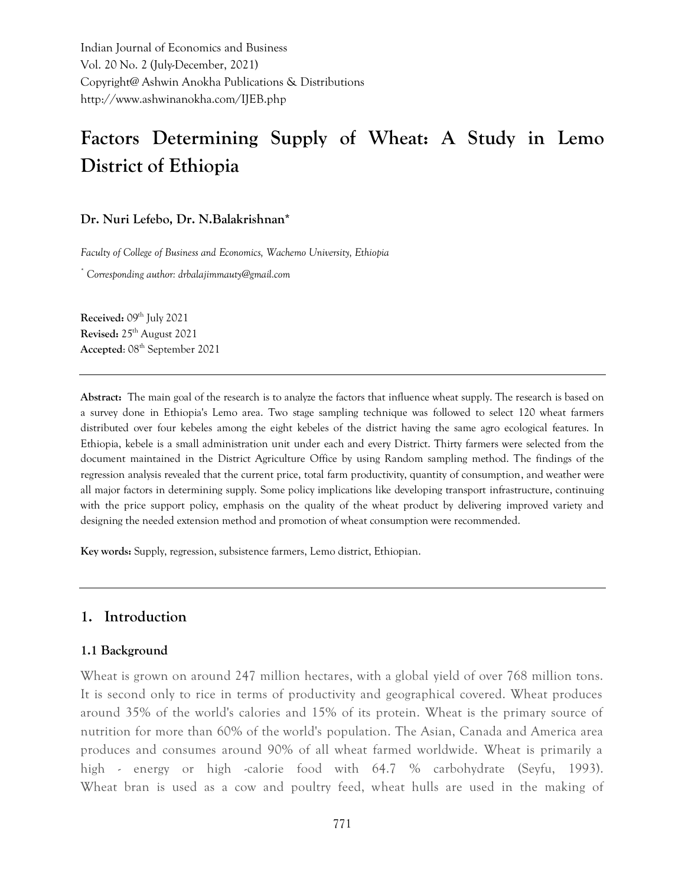Indian Journal of Economics and Business Vol. 20 No. 2 (July-December, 2021) Copyright@ Ashwin Anokha Publications & Distributions http://www.ashwinanokha.com/IJEB.php

# **Factors Determining Supply of Wheat: A Study in Lemo District of Ethiopia**

#### **Dr. Nuri Lefebo, Dr. N.Balakrishnan\***

*Faculty of College of Business and Economics, Wachemo University, Ethiopia*

*\* Corresponding author: drbalajimmauty@gmail.com*

**Received:** 09 th July 2021 **Revised:** 25th August 2021 **Accepted**: 08th September 2021

**Abstract:** The main goal of the research is to analyze the factors that influence wheat supply. The research is based on a survey done in Ethiopia's Lemo area. Two stage sampling technique was followed to select 120 wheat farmers distributed over four kebeles among the eight kebeles of the district having the same agro ecological features. In Ethiopia, kebele is a small administration unit under each and every District. Thirty farmers were selected from the document maintained in the District Agriculture Office by using Random sampling method. The findings of the regression analysis revealed that the current price, total farm productivity, quantity of consumption, and weather were all major factors in determining supply. Some policy implications like developing transport infrastructure, continuing with the price support policy, emphasis on the quality of the wheat product by delivering improved variety and designing the needed extension method and promotion of wheat consumption were recommended.

**Key words:** Supply, regression, subsistence farmers, Lemo district, Ethiopian.

# **1. Introduction**

#### **1.1 Background**

Wheat is grown on around 247 million hectares, with a global yield of over 768 million tons. It is second only to rice in terms of productivity and geographical covered. Wheat produces around 35% of the world's calories and 15% of its protein. Wheat is the primary source of nutrition for more than 60% of the world's population. The Asian, Canada and America area produces and consumes around 90% of all wheat farmed worldwide. Wheat is primarily a high - energy or high -calorie food with 64.7 % carbohydrate (Seyfu, 1993). Wheat bran is used as a cow and poultry feed, wheat hulls are used in the making of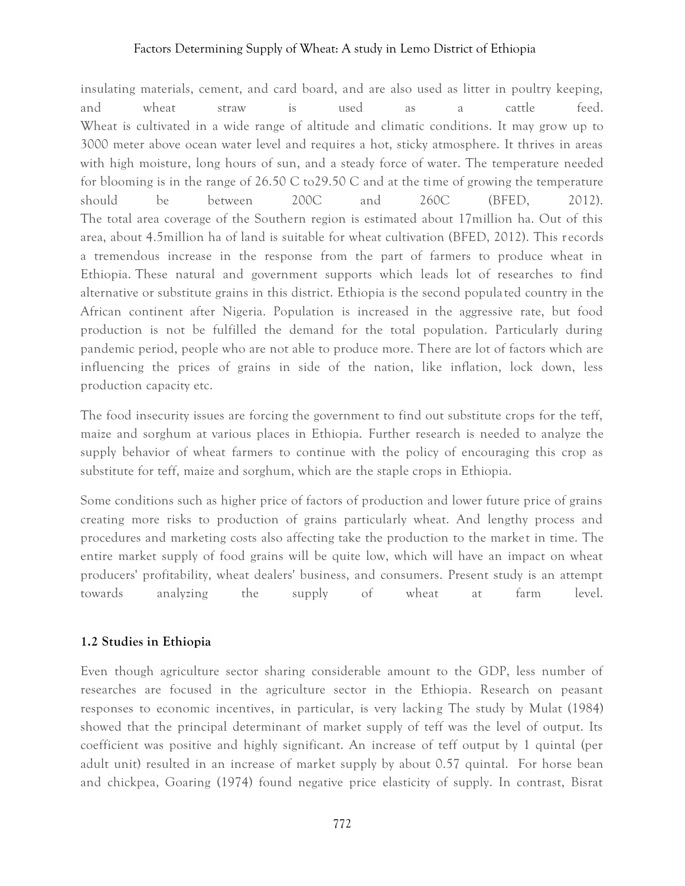insulating materials, cement, and card board, and are also used as litter in poultry keeping, and wheat straw is used as a cattle feed. Wheat is cultivated in a wide range of altitude and climatic conditions. It may grow up to 3000 meter above ocean water level and requires a hot, sticky atmosphere. It thrives in areas with high moisture, long hours of sun, and a steady force of water. The temperature needed for blooming is in the range of  $26.50 \text{ C}$  to  $29.50 \text{ C}$  and at the time of growing the temperature should be between 200C and 260C (BFED, 2012). The total area coverage of the Southern region is estimated about 17million ha. Out of this area, about 4.5million ha of land is suitable for wheat cultivation (BFED, 2012). This r ecords a tremendous increase in the response from the part of farmers to produce wheat in Ethiopia. These natural and government supports which leads lot of researches to find alternative or substitute grains in this district. Ethiopia is the second popula ted country in the African continent after Nigeria. Population is increased in the aggressive rate, but food production is not be fulfilled the demand for the total population. Particularly during pandemic period, people who are not able to produce more. There are lot of factors which are influencing the prices of grains in side of the nation, like inflation, lock down, less production capacity etc.

The food insecurity issues are forcing the government to find out substitute crops for the teff, maize and sorghum at various places in Ethiopia. Further research is needed to analyze the supply behavior of wheat farmers to continue with the policy of encouraging this crop as substitute for teff, maize and sorghum, which are the staple crops in Ethiopia.

Some conditions such as higher price of factors of production and lower future price of grains creating more risks to production of grains particularly wheat. And lengthy process and procedures and marketing costs also affecting take the production to the market in time. The entire market supply of food grains will be quite low, which will have an impact on wheat producers' profitability, wheat dealers' business, and consumers. Present study is an attempt towards analyzing the supply of wheat at farm level.

#### **1.2 Studies in Ethiopia**

Even though agriculture sector sharing considerable amount to the GDP, less number of researches are focused in the agriculture sector in the Ethiopia. Research on peasant responses to economic incentives, in particular, is very lacking The study by Mulat (1984) showed that the principal determinant of market supply of teff was the level of output. Its coefficient was positive and highly significant. An increase of teff output by 1 quintal (per adult unit) resulted in an increase of market supply by about 0.57 quintal. For horse bean and chickpea, Goaring (1974) found negative price elasticity of supply. In contrast, Bisrat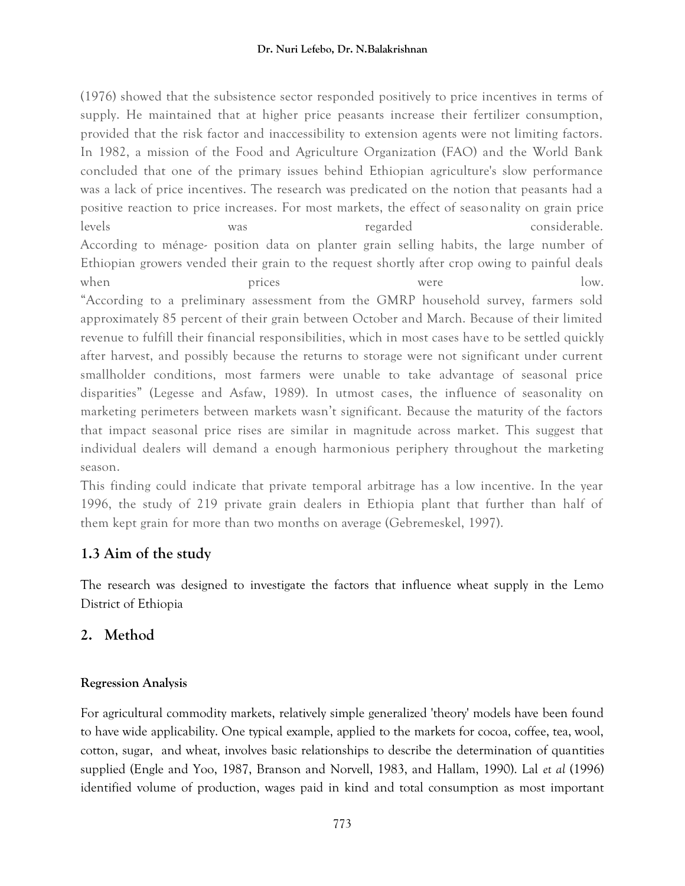(1976) showed that the subsistence sector responded positively to price incentives in terms of supply. He maintained that at higher price peasants increase their fertilizer consumption, provided that the risk factor and inaccessibility to extension agents were not limiting factors. In 1982, a mission of the Food and Agriculture Organization (FAO) and the World Bank concluded that one of the primary issues behind Ethiopian agriculture's slow performance was a lack of price incentives. The research was predicated on the notion that peasants had a positive reaction to price increases. For most markets, the effect of seasonality on grain price levels was regarded considerable. According to ménage- position data on planter grain selling habits, the large number of Ethiopian growers vended their grain to the request shortly after crop owing to painful deals when prices were low. "According to a preliminary assessment from the GMRP household survey, farmers sold approximately 85 percent of their grain between October and March. Because of their limited revenue to fulfill their financial responsibilities, which in most cases have to be settled quickly after harvest, and possibly because the returns to storage were not significant under current smallholder conditions, most farmers were unable to take advantage of seasonal price disparities" (Legesse and Asfaw, 1989). In utmost cases, the influence of seasonality on marketing perimeters between markets wasn't significant. Because the maturity of the factors that impact seasonal price rises are similar in magnitude across market. This suggest that individual dealers will demand a enough harmonious periphery throughout the marketing season.

This finding could indicate that private temporal arbitrage has a low incentive. In the year 1996, the study of 219 private grain dealers in Ethiopia plant that further than half of them kept grain for more than two months on average (Gebremeskel, 1997).

# **1.3 Aim of the study**

The research was designed to investigate the factors that influence wheat supply in the Lemo District of Ethiopia

# **2. Method**

# **Regression Analysis**

For agricultural commodity markets, relatively simple generalized 'theory' models have been found to have wide applicability. One typical example, applied to the markets for cocoa, coffee, tea, wool, cotton, sugar, and wheat, involves basic relationships to describe the determination of quantities supplied (Engle and Yoo, 1987, Branson and Norvell, 1983, and Hallam, 1990). Lal *et al* (1996) identified volume of production, wages paid in kind and total consumption as most important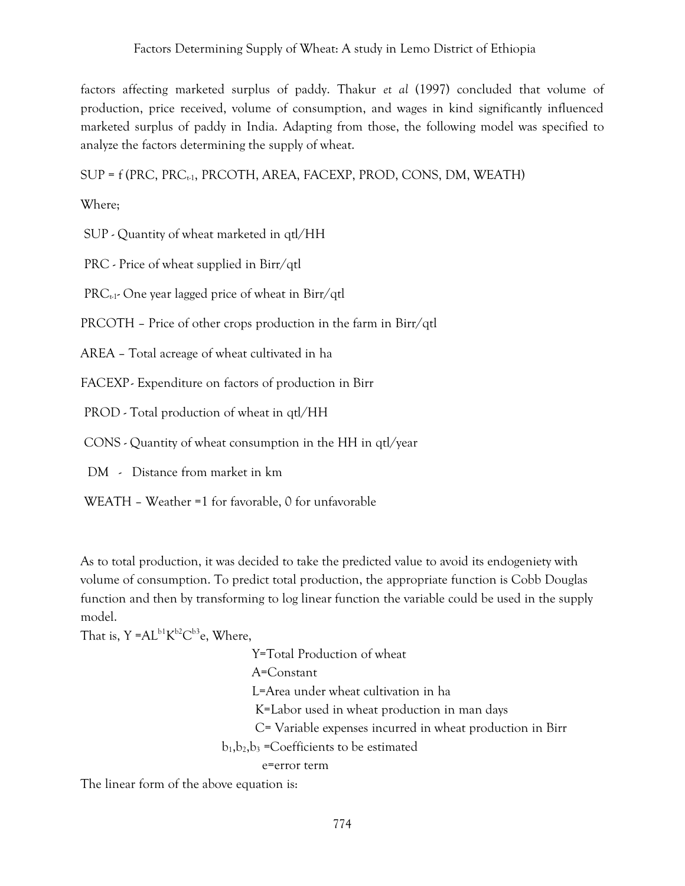factors affecting marketed surplus of paddy. Thakur *et al* (1997) concluded that volume of production, price received, volume of consumption, and wages in kind significantly influenced marketed surplus of paddy in India. Adapting from those, the following model was specified to analyze the factors determining the supply of wheat.

 $SUP = f(PRC, PRC<sub>t-1</sub>, PRCOTH, AREA, FACTP, PROD, CONS, DM, WEATH)$ 

Where;

SUP - Quantity of wheat marketed in qtl/HH

PRC - Price of wheat supplied in Birr/qtl

 $PRC_{t-1}$ - One year lagged price of wheat in Birr/qtl

PRCOTH – Price of other crops production in the farm in Birr/qtl

AREA – Total acreage of wheat cultivated in ha

FACEXP - Expenditure on factors of production in Birr

PROD - Total production of wheat in qtl/HH

CONS - Quantity of wheat consumption in the HH in qtl/year

DM - Distance from market in km

WEATH – Weather =1 for favorable, 0 for unfavorable

As to total production, it was decided to take the predicted value to avoid its endogeniety with volume of consumption. To predict total production, the appropriate function is Cobb Douglas function and then by transforming to log linear function the variable could be used in the supply model.

That is, Y =AL $\rm ^{b1}K^{\rm b2}C^{\rm b3}$ e, Where,

 Y=Total Production of wheat A=Constant L=Area under wheat cultivation in ha K=Labor used in wheat production in man days C= Variable expenses incurred in wheat production in Birr  $b_1, b_2, b_3$  =Coefficients to be estimated e=error term

The linear form of the above equation is: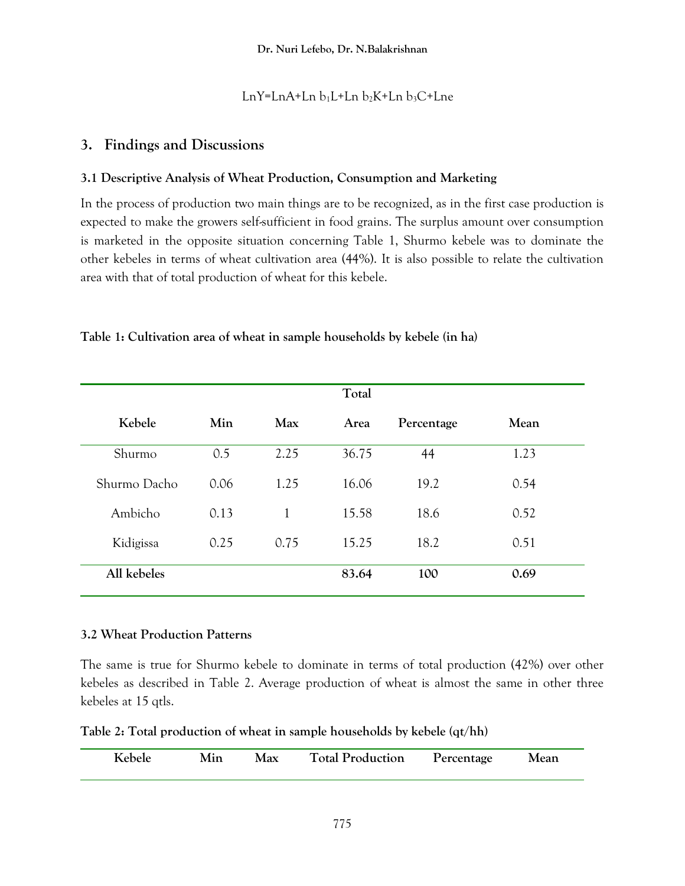# LnY=LnA+Ln  $b_1L$ +Ln  $b_2K$ +Ln  $b_3C$ +Lne

# **3. Findings and Discussions**

# **3.1 Descriptive Analysis of Wheat Production, Consumption and Marketing**

In the process of production two main things are to be recognized, as in the first case production is expected to make the growers self-sufficient in food grains. The surplus amount over consumption is marketed in the opposite situation concerning Table 1, Shurmo kebele was to dominate the other kebeles in terms of wheat cultivation area (44%). It is also possible to relate the cultivation area with that of total production of wheat for this kebele.

|              |      |      | Total |            |      |
|--------------|------|------|-------|------------|------|
| Kebele       | Min  | Max  | Area  | Percentage | Mean |
| Shurmo       | 0.5  | 2.25 | 36.75 | 44         | 1.23 |
| Shurmo Dacho | 0.06 | 1.25 | 16.06 | 19.2       | 0.54 |
| Ambicho      | 0.13 | 1    | 15.58 | 18.6       | 0.52 |
| Kidigissa    | 0.25 | 0.75 | 15.25 | 18.2       | 0.51 |
| All kebeles  |      |      | 83.64 | 100        | 0.69 |

**Table 1: Cultivation area of wheat in sample households by kebele (in ha)**

## **3.2 Wheat Production Patterns**

The same is true for Shurmo kebele to dominate in terms of total production (42%) over other kebeles as described in Table 2. Average production of wheat is almost the same in other three kebeles at 15 qtls.

| Kebele | Min | Max | <b>Total Production</b> | Percentage | Mean |
|--------|-----|-----|-------------------------|------------|------|
|        |     |     |                         |            |      |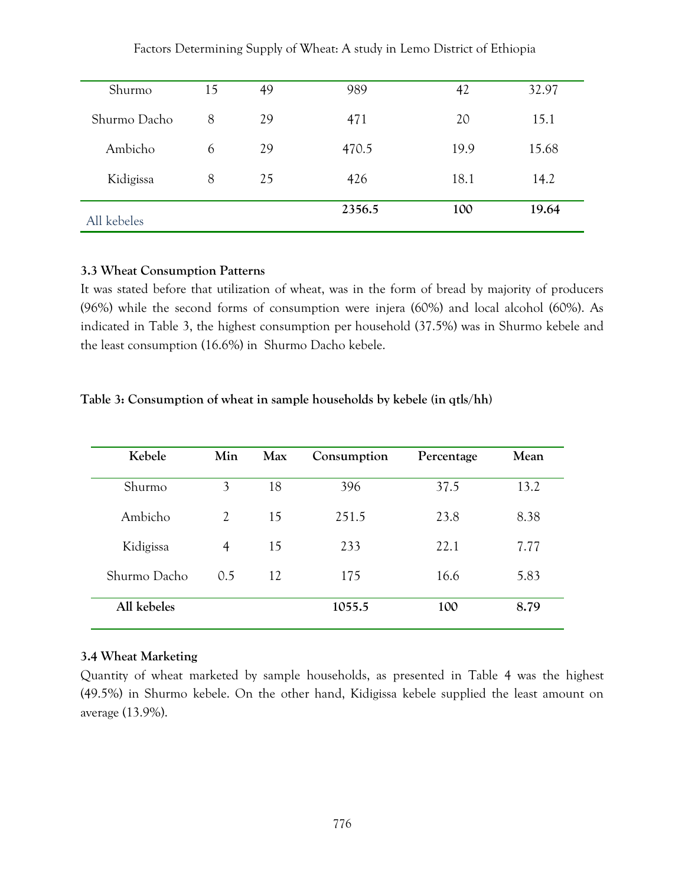| Factors Determining Supply of Wheat: A study in Lemo District of Ethiopia |  |  |
|---------------------------------------------------------------------------|--|--|
|---------------------------------------------------------------------------|--|--|

| Shurmo       | 15 | 49 | 989    | 42   | 32.97 |
|--------------|----|----|--------|------|-------|
| Shurmo Dacho | 8  | 29 | 471    | 20   | 15.1  |
| Ambicho      | 6  | 29 | 470.5  | 19.9 | 15.68 |
| Kidigissa    | 8  | 25 | 426    | 18.1 | 14.2  |
| All kebeles  |    |    | 2356.5 | 100  | 19.64 |

#### **3.3 Wheat Consumption Patterns**

It was stated before that utilization of wheat, was in the form of bread by majority of producers (96%) while the second forms of consumption were injera (60%) and local alcohol (60%). As indicated in Table 3, the highest consumption per household (37.5%) was in Shurmo kebele and the least consumption (16.6%) in Shurmo Dacho kebele.

#### **Table 3: Consumption of wheat in sample households by kebele (in qtls/hh)**

| Kebele       | Min            | Max | Consumption | Percentage | Mean |
|--------------|----------------|-----|-------------|------------|------|
| Shurmo       | 3              | 18  | 396         | 37.5       | 13.2 |
| Ambicho      | 2              | 15  | 251.5       | 23.8       | 8.38 |
| Kidigissa    | $\overline{4}$ | 15  | 233         | 22.1       | 7.77 |
| Shurmo Dacho | 0.5            | 12  | 175         | 16.6       | 5.83 |
| All kebeles  |                |     | 1055.5      | 100        | 8.79 |

#### **3.4 Wheat Marketing**

Quantity of wheat marketed by sample households, as presented in Table 4 was the highest (49.5%) in Shurmo kebele. On the other hand, Kidigissa kebele supplied the least amount on average (13.9%).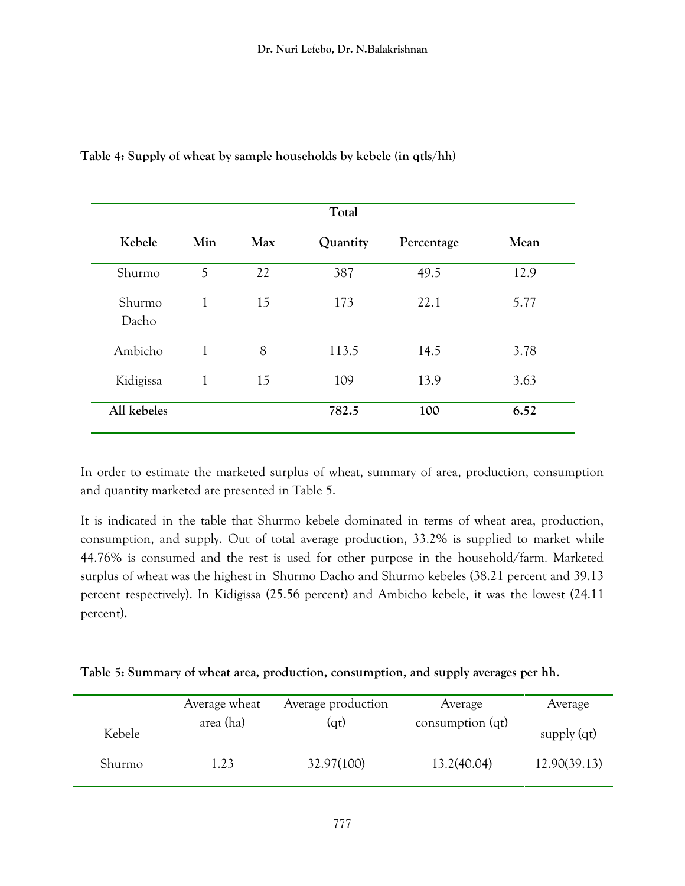|                 |              |     | Total    |            |      |
|-----------------|--------------|-----|----------|------------|------|
| Kebele          | Min          | Max | Quantity | Percentage | Mean |
| Shurmo          | 5            | 22  | 387      | 49.5       | 12.9 |
| Shurmo<br>Dacho | 1            | 15  | 173      | 22.1       | 5.77 |
| Ambicho         | 1            | 8   | 113.5    | 14.5       | 3.78 |
| Kidigissa       | $\mathbf{1}$ | 15  | 109      | 13.9       | 3.63 |
| All kebeles     |              |     | 782.5    | 100        | 6.52 |

**Table 4: Supply of wheat by sample households by kebele (in qtls/hh)** 

In order to estimate the marketed surplus of wheat, summary of area, production, consumption and quantity marketed are presented in Table 5.

It is indicated in the table that Shurmo kebele dominated in terms of wheat area, production, consumption, and supply. Out of total average production, 33.2% is supplied to market while 44.76% is consumed and the rest is used for other purpose in the household/farm. Marketed surplus of wheat was the highest in Shurmo Dacho and Shurmo kebeles (38.21 percent and 39.13 percent respectively). In Kidigissa (25.56 percent) and Ambicho kebele, it was the lowest (24.11 percent).

| Table 5: Summary of wheat area, production, consumption, and supply averages per hh. |  |  |  |  |  |  |  |  |
|--------------------------------------------------------------------------------------|--|--|--|--|--|--|--|--|
|--------------------------------------------------------------------------------------|--|--|--|--|--|--|--|--|

|        | Average wheat | Average production | Average            | Average       |
|--------|---------------|--------------------|--------------------|---------------|
| Kebele | area (ha)     | (qt)               | consumption $(qt)$ | supply $(qt)$ |
| Shurmo | 1.23          | 32.97(100)         | 13.2(40.04)        | 12.90(39.13)  |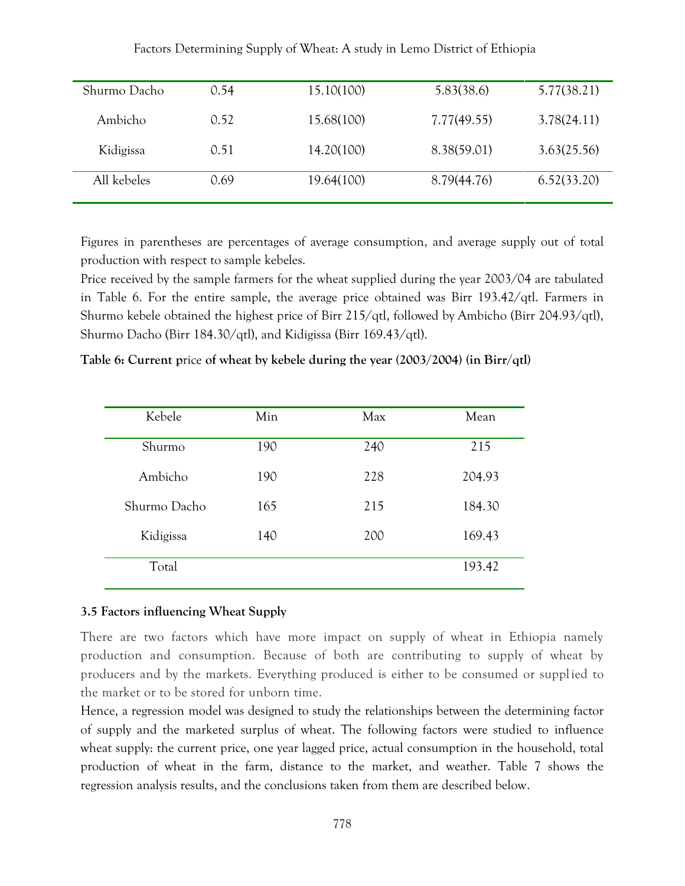| Shurmo Dacho | 0.54 | 15.10(100) | 5.83(38.6)  | 5.77(38.21) |
|--------------|------|------------|-------------|-------------|
| Ambicho      | 0.52 | 15.68(100) | 7.77(49.55) | 3.78(24.11) |
| Kidigissa    | 0.51 | 14.20(100) | 8.38(59.01) | 3.63(25.56) |
| All kebeles  | 0.69 | 19.64(100) | 8.79(44.76) | 6.52(33.20) |

Factors Determining Supply of Wheat: A study in Lemo District of Ethiopia

Figures in parentheses are percentages of average consumption, and average supply out of total production with respect to sample kebeles.

Price received by the sample farmers for the wheat supplied during the year 2003/04 are tabulated in Table 6. For the entire sample, the average price obtained was Birr 193.42/qtl. Farmers in Shurmo kebele obtained the highest price of Birr 215/qtl, followed by Ambicho (Birr 204.93/qtl), Shurmo Dacho (Birr 184.30/qtl), and Kidigissa (Birr 169.43/qtl).

**Table 6: Current p**rice **of wheat by kebele during the year (2003/2004) (in Birr/qtl)**

| Kebele       | Min | Max | Mean   |
|--------------|-----|-----|--------|
| Shurmo       | 190 | 240 | 215    |
| Ambicho      | 190 | 228 | 204.93 |
| Shurmo Dacho | 165 | 215 | 184.30 |
| Kidigissa    | 140 | 200 | 169.43 |
| Total        |     |     | 193.42 |

#### **3.5 Factors influencing Wheat Supply**

There are two factors which have more impact on supply of wheat in Ethiopia namely production and consumption. Because of both are contributing to supply of wheat by producers and by the markets. Everything produced is either to be consumed or supplied to the market or to be stored for unborn time.

Hence, a regression model was designed to study the relationships between the determining factor of supply and the marketed surplus of wheat. The following factors were studied to influence wheat supply: the current price, one year lagged price, actual consumption in the household, total production of wheat in the farm, distance to the market, and weather. Table 7 shows the regression analysis results, and the conclusions taken from them are described below.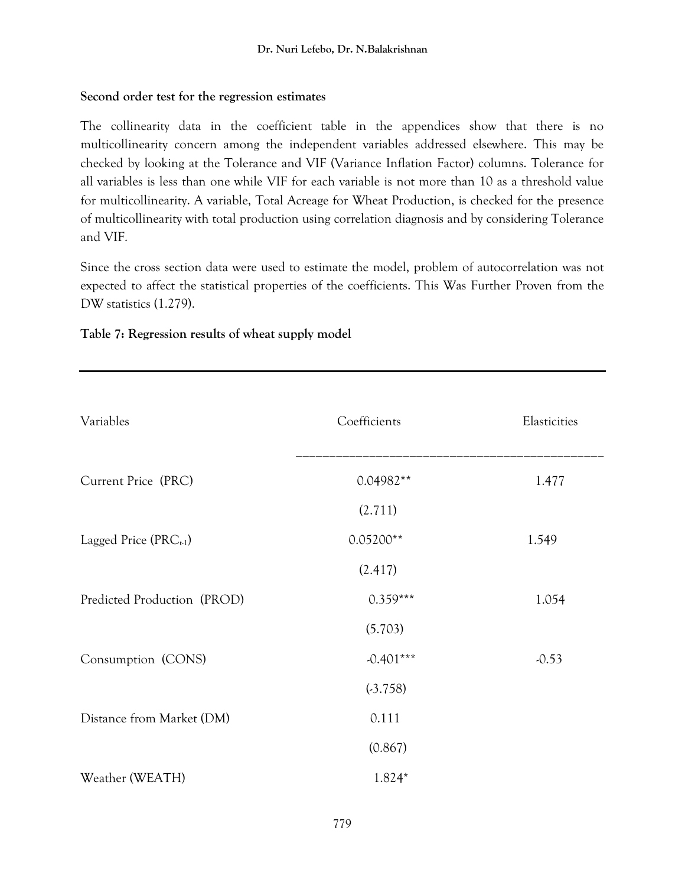## **Second order test for the regression estimates**

The collinearity data in the coefficient table in the appendices show that there is no multicollinearity concern among the independent variables addressed elsewhere. This may be checked by looking at the Tolerance and VIF (Variance Inflation Factor) columns. Tolerance for all variables is less than one while VIF for each variable is not more than 10 as a threshold value for multicollinearity. A variable, Total Acreage for Wheat Production, is checked for the presence of multicollinearity with total production using correlation diagnosis and by considering Tolerance and VIF.

Since the cross section data were used to estimate the model, problem of autocorrelation was not expected to affect the statistical properties of the coefficients. This Was Further Proven from the DW statistics (1.279).

| Variables                   | Coefficients | Elasticities |
|-----------------------------|--------------|--------------|
| Current Price (PRC)         | $0.04982**$  | 1.477        |
|                             | (2.711)      |              |
| Lagged Price $(PRC_{t-1})$  | $0.05200**$  | 1.549        |
|                             | (2.417)      |              |
| Predicted Production (PROD) | $0.359***$   | 1.054        |
|                             | (5.703)      |              |
| Consumption (CONS)          | $-0.401***$  | $-0.53$      |
|                             | (.3.758)     |              |
| Distance from Market (DM)   | 0.111        |              |
|                             | (0.867)      |              |
| Weather (WEATH)             | 1.824*       |              |

## **Table 7: Regression results of wheat supply model**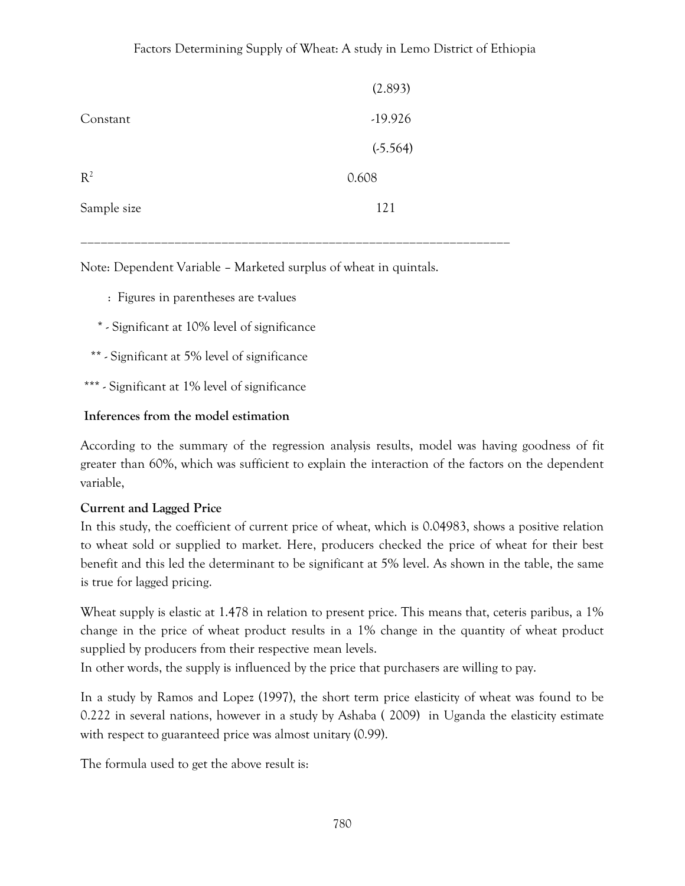|             | (2.893)   |
|-------------|-----------|
| Constant    | $-19.926$ |
|             | (.5.564)  |
| $R^2$       | 0.608     |
| Sample size | 121       |

\_\_\_\_\_\_\_\_\_\_\_\_\_\_\_\_\_\_\_\_\_\_\_\_\_\_\_\_\_\_\_\_\_\_\_\_\_\_\_\_\_\_\_\_\_\_\_\_\_\_\_\_\_\_\_\_\_\_\_\_\_\_\_\_

Note: Dependent Variable – Marketed surplus of wheat in quintals.

- : Figures in parentheses are t-values
- \* Significant at 10% level of significance
- \*\* Significant at 5% level of significance
- \*\*\* Significant at 1% level of significance

#### **Inferences from the model estimation**

According to the summary of the regression analysis results, model was having goodness of fit greater than 60%, which was sufficient to explain the interaction of the factors on the dependent variable,

#### **Current and Lagged Price**

In this study, the coefficient of current price of wheat, which is 0.04983, shows a positive relation to wheat sold or supplied to market. Here, producers checked the price of wheat for their best benefit and this led the determinant to be significant at 5% level. As shown in the table, the same is true for lagged pricing.

Wheat supply is elastic at 1.478 in relation to present price. This means that, ceteris paribus, a 1% change in the price of wheat product results in a 1% change in the quantity of wheat product supplied by producers from their respective mean levels.

In other words, the supply is influenced by the price that purchasers are willing to pay.

In a study by Ramos and Lopez (1997), the short term price elasticity of wheat was found to be 0.222 in several nations, however in a study by Ashaba ( 2009) in Uganda the elasticity estimate with respect to guaranteed price was almost unitary (0.99).

The formula used to get the above result is: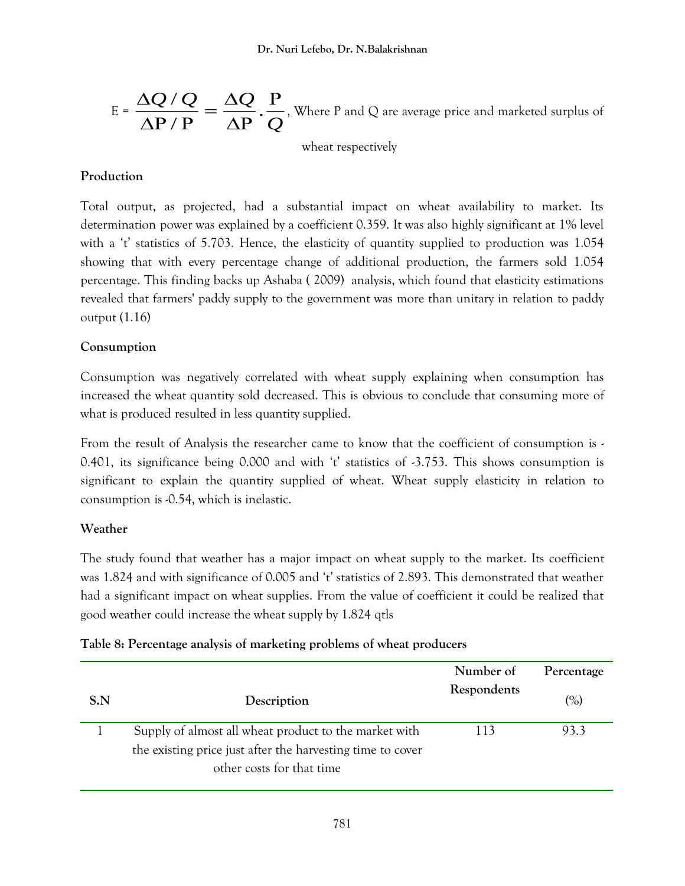$$
E = \frac{\Delta Q / Q}{\Delta P / P} = \frac{\Delta Q}{\Delta P} \cdot \frac{P}{Q}
$$
, Where P and Q are average price and marked surplus of

wheat respectively

## **Production**

Total output, as projected, had a substantial impact on wheat availability to market. Its determination power was explained by a coefficient 0.359. It was also highly significant at 1% level with a 't' statistics of 5.703. Hence, the elasticity of quantity supplied to production was 1.054 showing that with every percentage change of additional production, the farmers sold 1.054 percentage. This finding backs up Ashaba ( 2009) analysis, which found that elasticity estimations revealed that farmers' paddy supply to the government was more than unitary in relation to paddy output (1.16)

# **Consumption**

Consumption was negatively correlated with wheat supply explaining when consumption has increased the wheat quantity sold decreased. This is obvious to conclude that consuming more of what is produced resulted in less quantity supplied.

From the result of Analysis the researcher came to know that the coefficient of consumption is - 0.401, its significance being 0.000 and with 't' statistics of  $-3.753$ . This shows consumption is significant to explain the quantity supplied of wheat. Wheat supply elasticity in relation to consumption is -0.54, which is inelastic.

## **Weather**

The study found that weather has a major impact on wheat supply to the market. Its coefficient was 1.824 and with significance of 0.005 and 't' statistics of 2.893. This demonstrated that weather had a significant impact on wheat supplies. From the value of coefficient it could be realized that good weather could increase the wheat supply by 1.824 qtls

|     |                                                                                         | Number of   | Percentage |
|-----|-----------------------------------------------------------------------------------------|-------------|------------|
| S.N | Description                                                                             | Respondents | (%)        |
|     | Supply of almost all wheat product to the market with                                   | 113         | 93.3       |
|     | the existing price just after the harvesting time to cover<br>other costs for that time |             |            |

## **Table 8: Percentage analysis of marketing problems of wheat producers**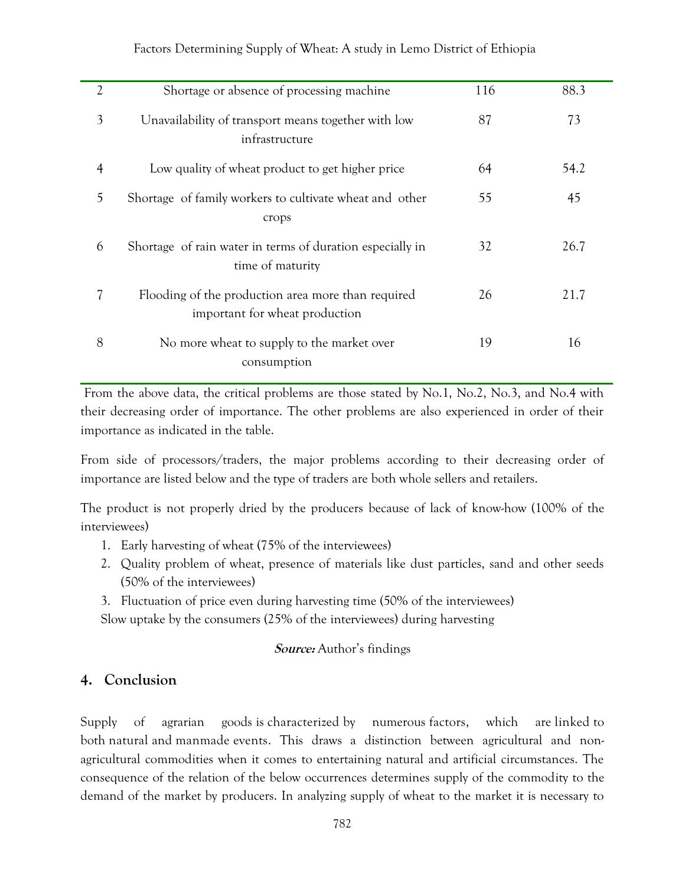| $\overline{2}$ | Shortage or absence of processing machine                                            | 116 | 88.3 |
|----------------|--------------------------------------------------------------------------------------|-----|------|
| 3              | Unavailability of transport means together with low<br>infrastructure                | 87  | 73   |
| 4              | Low quality of wheat product to get higher price                                     | 64  | 54.2 |
| 5              | Shortage of family workers to cultivate wheat and other<br>crops                     | 55  | 45   |
| 6              | Shortage of rain water in terms of duration especially in<br>time of maturity        | 32  | 26.7 |
| 7              | Flooding of the production area more than required<br>important for wheat production | 26  | 21.7 |
| 8              | No more wheat to supply to the market over<br>consumption                            | 19  | 16   |

From the above data, the critical problems are those stated by No.1, No.2, No.3, and No.4 with their decreasing order of importance. The other problems are also experienced in order of their importance as indicated in the table.

From side of processors/traders, the major problems according to their decreasing order of importance are listed below and the type of traders are both whole sellers and retailers.

The product is not properly dried by the producers because of lack of know-how (100% of the interviewees)

- 1. Early harvesting of wheat (75% of the interviewees)
- 2. Quality problem of wheat, presence of materials like dust particles, sand and other seeds (50% of the interviewees)
- 3. Fluctuation of price even during harvesting time (50% of the interviewees)

Slow uptake by the consumers (25% of the interviewees) during harvesting

#### **Source:** Author's findings

#### **4. Conclusion**

Supply of agrarian goods is characterized by numerous factors, which are linked to both natural and manmade events. This draws a distinction between agricultural and nonagricultural commodities when it comes to entertaining natural and artificial circumstances. The consequence of the relation of the below occurrences determines supply of the commodity to the demand of the market by producers. In analyzing supply of wheat to the market it is necessary to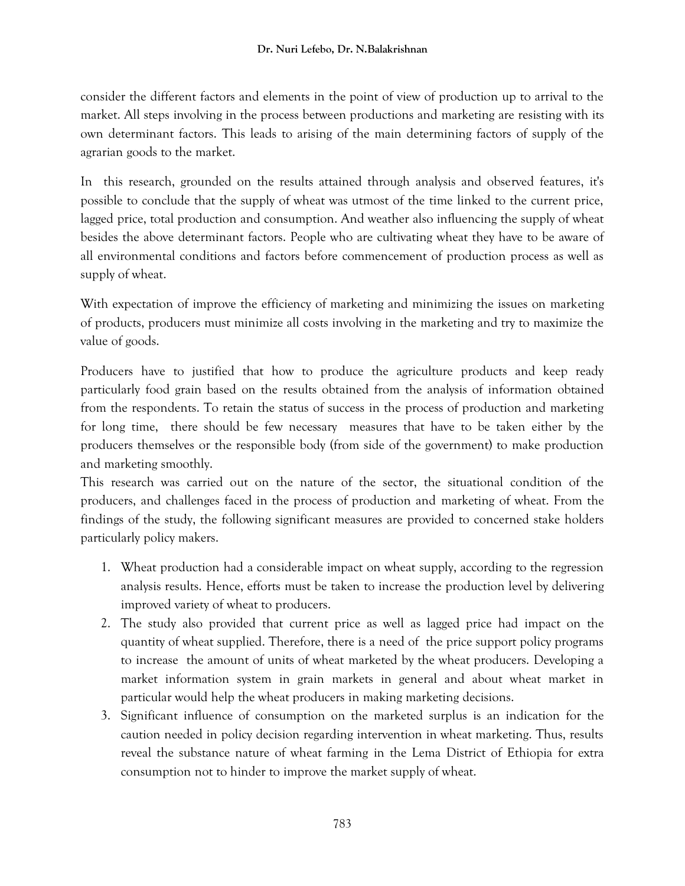consider the different factors and elements in the point of view of production up to arrival to the market. All steps involving in the process between productions and marketing are resisting with its own determinant factors. This leads to arising of the main determining factors of supply of the agrarian goods to the market.

In this research, grounded on the results attained through analysis and observed features, it's possible to conclude that the supply of wheat was utmost of the time linked to the current price, lagged price, total production and consumption. And weather also influencing the supply of wheat besides the above determinant factors. People who are cultivating wheat they have to be aware of all environmental conditions and factors before commencement of production process as well as supply of wheat.

With expectation of improve the efficiency of marketing and minimizing the issues on marketing of products, producers must minimize all costs involving in the marketing and try to maximize the value of goods.

Producers have to justified that how to produce the agriculture products and keep ready particularly food grain based on the results obtained from the analysis of information obtained from the respondents. To retain the status of success in the process of production and marketing for long time, there should be few necessary measures that have to be taken either by the producers themselves or the responsible body (from side of the government) to make production and marketing smoothly.

This research was carried out on the nature of the sector, the situational condition of the producers, and challenges faced in the process of production and marketing of wheat. From the findings of the study, the following significant measures are provided to concerned stake holders particularly policy makers.

- 1. Wheat production had a considerable impact on wheat supply, according to the regression analysis results. Hence, efforts must be taken to increase the production level by delivering improved variety of wheat to producers.
- 2. The study also provided that current price as well as lagged price had impact on the quantity of wheat supplied. Therefore, there is a need of the price support policy programs to increase the amount of units of wheat marketed by the wheat producers. Developing a market information system in grain markets in general and about wheat market in particular would help the wheat producers in making marketing decisions.
- 3. Significant influence of consumption on the marketed surplus is an indication for the caution needed in policy decision regarding intervention in wheat marketing. Thus, results reveal the substance nature of wheat farming in the Lema District of Ethiopia for extra consumption not to hinder to improve the market supply of wheat.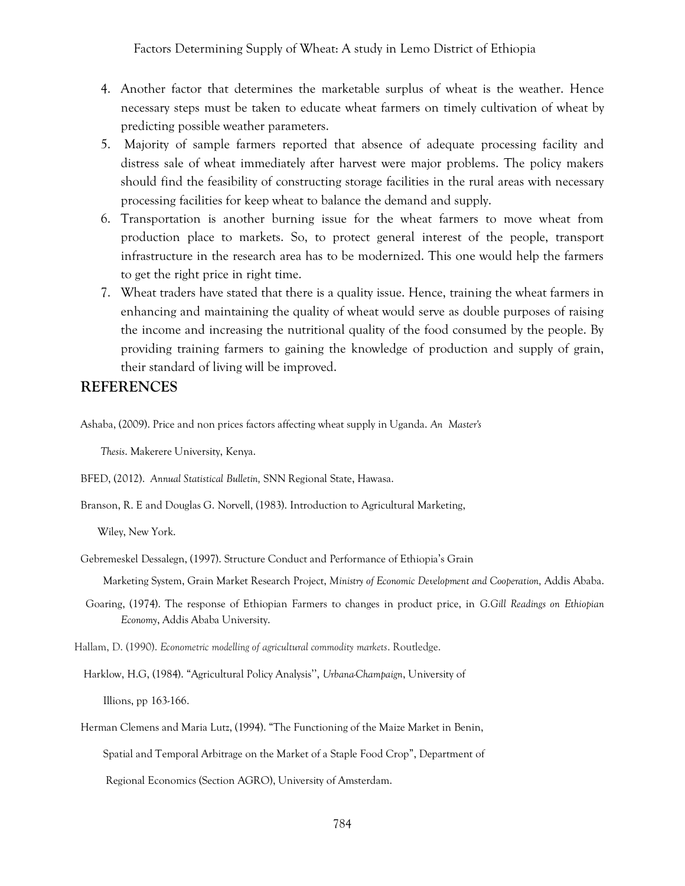- 4. Another factor that determines the marketable surplus of wheat is the weather. Hence necessary steps must be taken to educate wheat farmers on timely cultivation of wheat by predicting possible weather parameters.
- 5. Majority of sample farmers reported that absence of adequate processing facility and distress sale of wheat immediately after harvest were major problems. The policy makers should find the feasibility of constructing storage facilities in the rural areas with necessary processing facilities for keep wheat to balance the demand and supply.
- 6. Transportation is another burning issue for the wheat farmers to move wheat from production place to markets. So, to protect general interest of the people, transport infrastructure in the research area has to be modernized. This one would help the farmers to get the right price in right time.
- 7. Wheat traders have stated that there is a quality issue. Hence, training the wheat farmers in enhancing and maintaining the quality of wheat would serve as double purposes of raising the income and increasing the nutritional quality of the food consumed by the people. By providing training farmers to gaining the knowledge of production and supply of grain, their standard of living will be improved.

#### **REFERENCES**

Ashaba, (2009). Price and non prices factors affecting wheat supply in Uganda. *An Master's* 

 *Thesis*. Makerere University, Kenya.

BFED, (2012). *Annual Statistical Bulletin,* SNN Regional State, Hawasa.

Branson, R. E and Douglas G. Norvell, (1983). Introduction to Agricultural Marketing,

Wiley, New York.

Gebremeskel Dessalegn, (1997). Structure Conduct and Performance of Ethiopia's Grain

Marketing System, Grain Market Research Project, *Ministry of Economic Development and Cooperation,* Addis Ababa.

Goaring, (1974). The response of Ethiopian Farmers to changes in product price, in *G.Gill Readings on Ethiopian Economy*, Addis Ababa University.

Hallam, D. (1990). *Econometric modelling of agricultural commodity markets*. Routledge.

Harklow, H.G, (1984). "Agricultural Policy Analysis'', *Urbana-Champaign*, University of Illions, pp 163-166.

Herman Clemens and Maria Lutz, (1994). "The Functioning of the Maize Market in Benin, Spatial and Temporal Arbitrage on the Market of a Staple Food Crop", Department of Regional Economics (Section AGRO), University of Amsterdam.